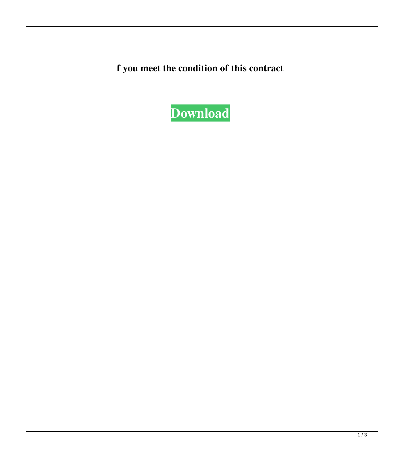**f you meet the condition of this contract**

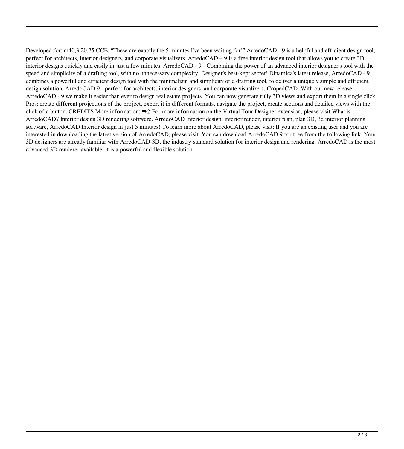Developed for: m40,3,20,25 CCE. "These are exactly the 5 minutes I've been waiting for!" ArredoCAD - 9 is a helpful and efficient design tool, perfect for architects, interior designers, and corporate visualizers. ArredoCAD – 9 is a free interior design tool that allows you to create 3D interior designs quickly and easily in just a few minutes. ArredoCAD - 9 - Combining the power of an advanced interior designer's tool with the speed and simplicity of a drafting tool, with no unnecessary complexity. Designer's best-kept secret! Dinamica's latest release, ArredoCAD - 9, combines a powerful and efficient design tool with the minimalism and simplicity of a drafting tool, to deliver a uniquely simple and efficient design solution. ArredoCAD 9 - perfect for architects, interior designers, and corporate visualizers. CropedCAD. With our new release ArredoCAD - 9 we make it easier than ever to design real estate projects. You can now generate fully 3D views and export them in a single click. Pros: create different projections of the project, export it in different formats, navigate the project, create sections and detailed views with the click of a button. CREDITS More information: ➡️ For more information on the Virtual Tour Designer extension, please visit What is ArredoCAD? Interior design 3D rendering software. ArredoCAD Interior design, interior render, interior plan, plan 3D, 3d interior planning software, ArredoCAD Interior design in just 5 minutes! To learn more about ArredoCAD, please visit: If you are an existing user and you are interested in downloading the latest version of ArredoCAD, please visit: You can download ArredoCAD 9 for free from the following link: Your 3D designers are already familiar with ArredoCAD-3D, the industry-standard solution for interior design and rendering. ArredoCAD is the most advanced 3D renderer available, it is a powerful and flexible solution